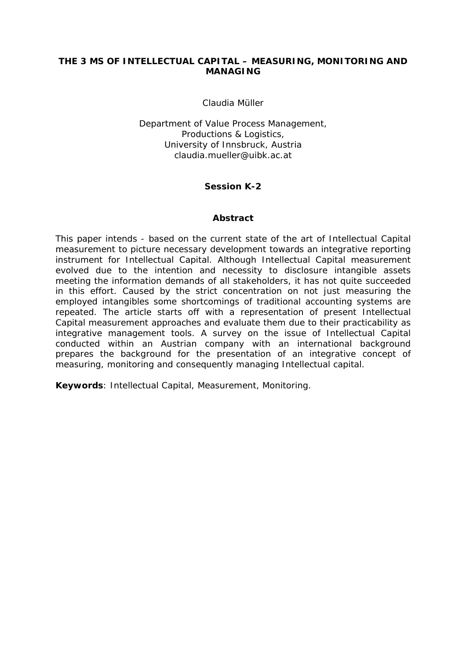# **THE 3 MS OF INTELLECTUAL CAPITAL – MEASURING, MONITORING AND MANAGING**

Claudia Müller

Department of Value Process Management, Productions & Logistics, University of Innsbruck, Austria claudia.mueller@uibk.ac.at

# **Session K-2**

### **Abstract**

This paper intends - based on the current state of the art of Intellectual Capital measurement to picture necessary development towards an integrative reporting instrument for Intellectual Capital. Although Intellectual Capital measurement evolved due to the intention and necessity to disclosure intangible assets meeting the information demands of all stakeholders, it has not quite succeeded in this effort. Caused by the strict concentration on not just measuring the employed intangibles some shortcomings of traditional accounting systems are repeated. The article starts off with a representation of present Intellectual Capital measurement approaches and evaluate them due to their practicability as integrative management tools. A survey on the issue of Intellectual Capital conducted within an Austrian company with an international background prepares the background for the presentation of an integrative concept of measuring, monitoring and consequently managing Intellectual capital.

**Keywords**: Intellectual Capital, Measurement, Monitoring.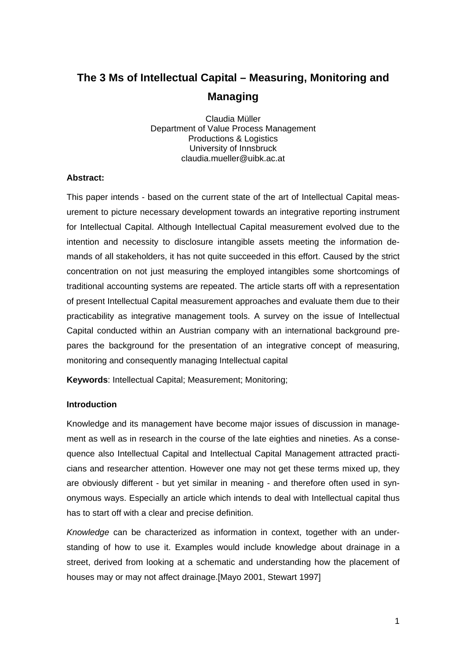# **The 3 Ms of Intellectual Capital – Measuring, Monitoring and Managing**

Claudia Müller Department of Value Process Management Productions & Logistics University of Innsbruck claudia.mueller@uibk.ac.at

### **Abstract:**

This paper intends - based on the current state of the art of Intellectual Capital measurement to picture necessary development towards an integrative reporting instrument for Intellectual Capital. Although Intellectual Capital measurement evolved due to the intention and necessity to disclosure intangible assets meeting the information demands of all stakeholders, it has not quite succeeded in this effort. Caused by the strict concentration on not just measuring the employed intangibles some shortcomings of traditional accounting systems are repeated. The article starts off with a representation of present Intellectual Capital measurement approaches and evaluate them due to their practicability as integrative management tools. A survey on the issue of Intellectual Capital conducted within an Austrian company with an international background prepares the background for the presentation of an integrative concept of measuring, monitoring and consequently managing Intellectual capital

**Keywords**: Intellectual Capital; Measurement; Monitoring;

### **Introduction**

Knowledge and its management have become major issues of discussion in management as well as in research in the course of the late eighties and nineties. As a consequence also Intellectual Capital and Intellectual Capital Management attracted practicians and researcher attention. However one may not get these terms mixed up, they are obviously different - but yet similar in meaning - and therefore often used in synonymous ways. Especially an article which intends to deal with Intellectual capital thus has to start off with a clear and precise definition.

*Knowledge* can be characterized as information in context, together with an understanding of how to use it. Examples would include knowledge about drainage in a street, derived from looking at a schematic and understanding how the placement of houses may or may not affect drainage.[Mayo 2001, Stewart 1997]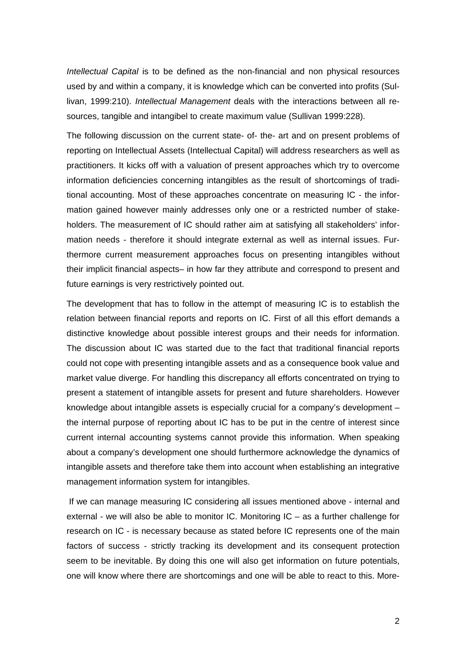*Intellectual Capital* is to be defined as the non-financial and non physical resources used by and within a company, it is knowledge which can be converted into profits (Sullivan, 1999:210). *Intellectual Management* deals with the interactions between all resources, tangible and intangibel to create maximum value (Sullivan 1999:228).

The following discussion on the current state- of- the- art and on present problems of reporting on Intellectual Assets (Intellectual Capital) will address researchers as well as practitioners. It kicks off with a valuation of present approaches which try to overcome information deficiencies concerning intangibles as the result of shortcomings of traditional accounting. Most of these approaches concentrate on measuring IC - the information gained however mainly addresses only one or a restricted number of stakeholders. The measurement of IC should rather aim at satisfying all stakeholders' information needs - therefore it should integrate external as well as internal issues. Furthermore current measurement approaches focus on presenting intangibles without their implicit financial aspects– in how far they attribute and correspond to present and future earnings is very restrictively pointed out.

The development that has to follow in the attempt of measuring IC is to establish the relation between financial reports and reports on IC. First of all this effort demands a distinctive knowledge about possible interest groups and their needs for information. The discussion about IC was started due to the fact that traditional financial reports could not cope with presenting intangible assets and as a consequence book value and market value diverge. For handling this discrepancy all efforts concentrated on trying to present a statement of intangible assets for present and future shareholders. However knowledge about intangible assets is especially crucial for a company's development – the internal purpose of reporting about IC has to be put in the centre of interest since current internal accounting systems cannot provide this information. When speaking about a company's development one should furthermore acknowledge the dynamics of intangible assets and therefore take them into account when establishing an integrative management information system for intangibles.

 If we can manage measuring IC considering all issues mentioned above - internal and external - we will also be able to monitor IC. Monitoring IC – as a further challenge for research on IC - is necessary because as stated before IC represents one of the main factors of success - strictly tracking its development and its consequent protection seem to be inevitable. By doing this one will also get information on future potentials, one will know where there are shortcomings and one will be able to react to this. More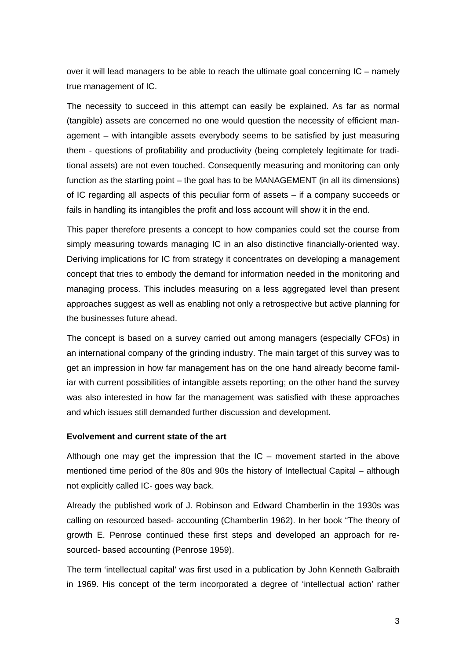over it will lead managers to be able to reach the ultimate goal concerning IC – namely true management of IC.

The necessity to succeed in this attempt can easily be explained. As far as normal (tangible) assets are concerned no one would question the necessity of efficient management – with intangible assets everybody seems to be satisfied by just measuring them - questions of profitability and productivity (being completely legitimate for traditional assets) are not even touched. Consequently measuring and monitoring can only function as the starting point – the goal has to be MANAGEMENT (in all its dimensions) of IC regarding all aspects of this peculiar form of assets – if a company succeeds or fails in handling its intangibles the profit and loss account will show it in the end.

This paper therefore presents a concept to how companies could set the course from simply measuring towards managing IC in an also distinctive financially-oriented way. Deriving implications for IC from strategy it concentrates on developing a management concept that tries to embody the demand for information needed in the monitoring and managing process. This includes measuring on a less aggregated level than present approaches suggest as well as enabling not only a retrospective but active planning for the businesses future ahead.

The concept is based on a survey carried out among managers (especially CFOs) in an international company of the grinding industry. The main target of this survey was to get an impression in how far management has on the one hand already become familiar with current possibilities of intangible assets reporting; on the other hand the survey was also interested in how far the management was satisfied with these approaches and which issues still demanded further discussion and development.

### **Evolvement and current state of the art**

Although one may get the impression that the  $IC$  – movement started in the above mentioned time period of the 80s and 90s the history of Intellectual Capital – although not explicitly called IC- goes way back.

Already the published work of J. Robinson and Edward Chamberlin in the 1930s was calling on resourced based- accounting (Chamberlin 1962). In her book "The theory of growth E. Penrose continued these first steps and developed an approach for resourced- based accounting (Penrose 1959).

The term 'intellectual capital' was first used in a publication by John Kenneth Galbraith in 1969. His concept of the term incorporated a degree of 'intellectual action' rather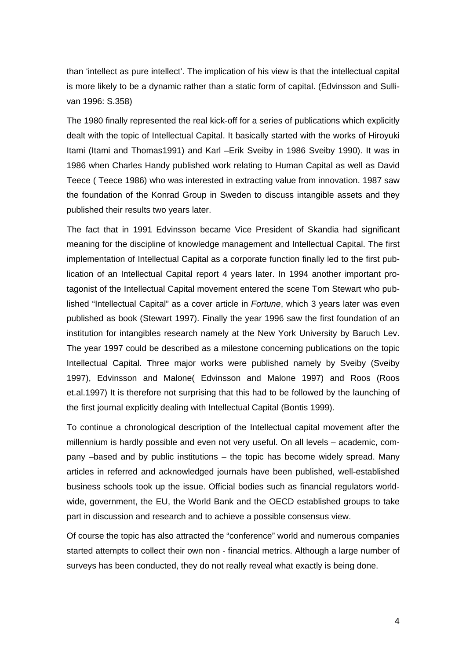than 'intellect as pure intellect'. The implication of his view is that the intellectual capital is more likely to be a dynamic rather than a static form of capital. (Edvinsson and Sullivan 1996: S.358)

The 1980 finally represented the real kick-off for a series of publications which explicitly dealt with the topic of Intellectual Capital. It basically started with the works of Hiroyuki Itami (Itami and Thomas1991) and Karl –Erik Sveiby in 1986 Sveiby 1990). It was in 1986 when Charles Handy published work relating to Human Capital as well as David Teece ( Teece 1986) who was interested in extracting value from innovation. 1987 saw the foundation of the Konrad Group in Sweden to discuss intangible assets and they published their results two years later.

The fact that in 1991 Edvinsson became Vice President of Skandia had significant meaning for the discipline of knowledge management and Intellectual Capital. The first implementation of Intellectual Capital as a corporate function finally led to the first publication of an Intellectual Capital report 4 years later. In 1994 another important protagonist of the Intellectual Capital movement entered the scene Tom Stewart who published "Intellectual Capital" as a cover article in *Fortune*, which 3 years later was even published as book (Stewart 1997). Finally the year 1996 saw the first foundation of an institution for intangibles research namely at the New York University by Baruch Lev. The year 1997 could be described as a milestone concerning publications on the topic Intellectual Capital. Three major works were published namely by Sveiby (Sveiby 1997), Edvinsson and Malone( Edvinsson and Malone 1997) and Roos (Roos et.al.1997) It is therefore not surprising that this had to be followed by the launching of the first journal explicitly dealing with Intellectual Capital (Bontis 1999).

To continue a chronological description of the Intellectual capital movement after the millennium is hardly possible and even not very useful. On all levels – academic, company –based and by public institutions – the topic has become widely spread. Many articles in referred and acknowledged journals have been published, well-established business schools took up the issue. Official bodies such as financial regulators worldwide, government, the EU, the World Bank and the OECD established groups to take part in discussion and research and to achieve a possible consensus view.

Of course the topic has also attracted the "conference" world and numerous companies started attempts to collect their own non - financial metrics. Although a large number of surveys has been conducted, they do not really reveal what exactly is being done.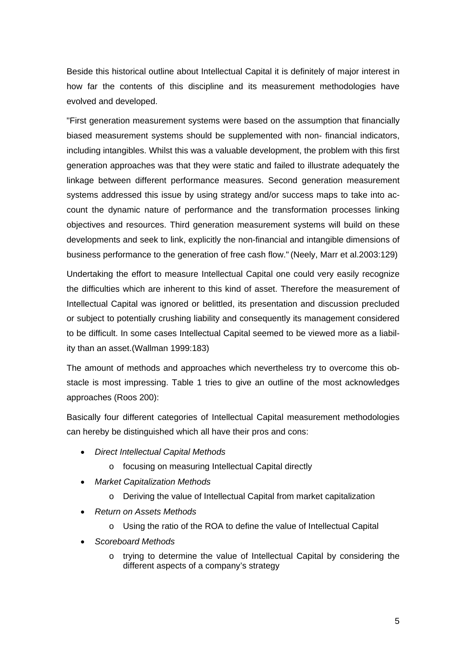Beside this historical outline about Intellectual Capital it is definitely of major interest in how far the contents of this discipline and its measurement methodologies have evolved and developed.

"First generation measurement systems were based on the assumption that financially biased measurement systems should be supplemented with non- financial indicators, including intangibles. Whilst this was a valuable development, the problem with this first generation approaches was that they were static and failed to illustrate adequately the linkage between different performance measures. Second generation measurement systems addressed this issue by using strategy and/or success maps to take into account the dynamic nature of performance and the transformation processes linking objectives and resources. Third generation measurement systems will build on these developments and seek to link, explicitly the non-financial and intangible dimensions of business performance to the generation of free cash flow." (Neely, Marr et al.2003:129)

Undertaking the effort to measure Intellectual Capital one could very easily recognize the difficulties which are inherent to this kind of asset. Therefore the measurement of Intellectual Capital was ignored or belittled, its presentation and discussion precluded or subject to potentially crushing liability and consequently its management considered to be difficult. In some cases Intellectual Capital seemed to be viewed more as a liability than an asset.(Wallman 1999:183)

The amount of methods and approaches which nevertheless try to overcome this obstacle is most impressing. Table 1 tries to give an outline of the most acknowledges approaches (Roos 200):

Basically four different categories of Intellectual Capital measurement methodologies can hereby be distinguished which all have their pros and cons:

- *Direct Intellectual Capital Methods* 
	- o focusing on measuring Intellectual Capital directly
- *Market Capitalization Methods* 
	- o Deriving the value of Intellectual Capital from market capitalization
- *Return on Assets Methods* 
	- o Using the ratio of the ROA to define the value of Intellectual Capital
- *Scoreboard Methods* 
	- o trying to determine the value of Intellectual Capital by considering the different aspects of a company's strategy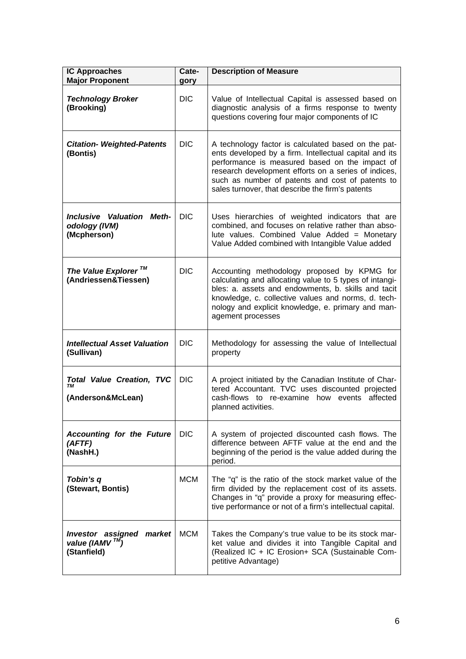| <b>IC Approaches</b><br><b>Major Proponent</b>                        | Cate-<br>gory | <b>Description of Measure</b>                                                                                                                                                                                                                                                                                                   |
|-----------------------------------------------------------------------|---------------|---------------------------------------------------------------------------------------------------------------------------------------------------------------------------------------------------------------------------------------------------------------------------------------------------------------------------------|
| <b>Technology Broker</b><br>(Brooking)                                | DIC.          | Value of Intellectual Capital is assessed based on<br>diagnostic analysis of a firms response to twenty<br>questions covering four major components of IC                                                                                                                                                                       |
| <b>Citation- Weighted-Patents</b><br>(Bontis)                         | <b>DIC</b>    | A technology factor is calculated based on the pat-<br>ents developed by a firm. Intellectual capital and its<br>performance is measured based on the impact of<br>research development efforts on a series of indices,<br>such as number of patents and cost of patents to<br>sales turnover, that describe the firm's patents |
| <b>Inclusive Valuation Meth-</b><br>odology (IVM)<br>(Mcpherson)      | <b>DIC</b>    | Uses hierarchies of weighted indicators that are<br>combined, and focuses on relative rather than abso-<br>lute values. Combined Value Added = Monetary<br>Value Added combined with Intangible Value added                                                                                                                     |
| The Value Explorer <sup>™</sup><br>(Andriessen&Tiessen)               | <b>DIC</b>    | Accounting methodology proposed by KPMG for<br>calculating and allocating value to 5 types of intangi-<br>bles: a. assets and endowments, b. skills and tacit<br>knowledge, c. collective values and norms, d. tech-<br>nology and explicit knowledge, e. primary and man-<br>agement processes                                 |
| <b>Intellectual Asset Valuation</b><br>(Sullivan)                     | <b>DIC</b>    | Methodology for assessing the value of Intellectual<br>property                                                                                                                                                                                                                                                                 |
| <b>Total Value Creation, TVC</b><br>TМ<br>(Anderson&McLean)           | <b>DIC</b>    | A project initiated by the Canadian Institute of Char-<br>tered Accountant. TVC uses discounted projected<br>cash-flows to re-examine how events affected<br>planned activities.                                                                                                                                                |
| <b>Accounting for the Future</b><br>(AFTF)<br>(NashH.)                | <b>DIC</b>    | A system of projected discounted cash flows. The<br>difference between AFTF value at the end and the<br>beginning of the period is the value added during the<br>period.                                                                                                                                                        |
| Tobin's q<br>(Stewart, Bontis)                                        | <b>MCM</b>    | The "q" is the ratio of the stock market value of the<br>firm divided by the replacement cost of its assets.<br>Changes in "q" provide a proxy for measuring effec-<br>tive performance or not of a firm's intellectual capital.                                                                                                |
| Investor assigned market<br>value (IAMV <sup>TM)</sup><br>(Stanfield) | <b>MCM</b>    | Takes the Company's true value to be its stock mar-<br>ket value and divides it into Tangible Capital and<br>(Realized IC + IC Erosion+ SCA (Sustainable Com-<br>petitive Advantage)                                                                                                                                            |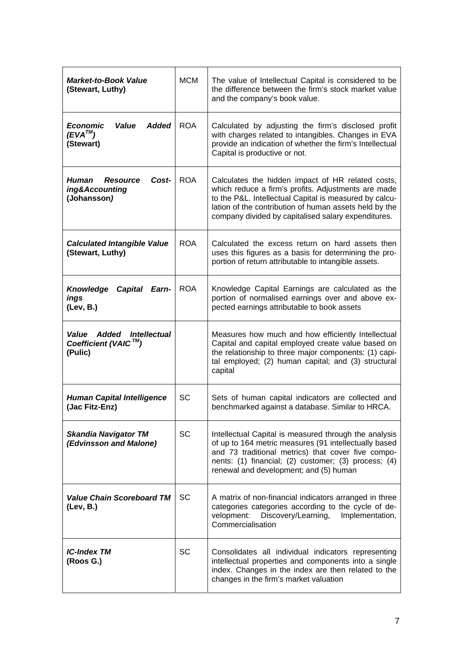| <b>Market-to-Book Value</b><br>(Stewart, Luthy)                       | МСМ        | The value of Intellectual Capital is considered to be<br>the difference between the firm's stock market value<br>and the company's book value.                                                                                                                                      |
|-----------------------------------------------------------------------|------------|-------------------------------------------------------------------------------------------------------------------------------------------------------------------------------------------------------------------------------------------------------------------------------------|
| <b>Economic</b><br>Value<br><b>Added</b><br>$(EVA^{TM})$<br>(Stewart) | <b>ROA</b> | Calculated by adjusting the firm's disclosed profit<br>with charges related to intangibles. Changes in EVA<br>provide an indication of whether the firm's Intellectual<br>Capital is productive or not.                                                                             |
| Human<br><b>Resource</b><br>Cost-<br>ing&Accounting<br>(Johansson)    | <b>ROA</b> | Calculates the hidden impact of HR related costs,<br>which reduce a firm's profits. Adjustments are made<br>to the P&L. Intellectual Capital is measured by calcu-<br>lation of the contribution of human assets held by the<br>company divided by capitalised salary expenditures. |
| <b>Calculated Intangible Value</b><br>(Stewart, Luthy)                | <b>ROA</b> | Calculated the excess return on hard assets then<br>uses this figures as a basis for determining the pro-<br>portion of return attributable to intangible assets.                                                                                                                   |
| <b>Knowledge</b><br>Capital<br>Earn-<br>ings<br>(Lev, B.)             | <b>ROA</b> | Knowledge Capital Earnings are calculated as the<br>portion of normalised earnings over and above ex-<br>pected earnings attributable to book assets                                                                                                                                |
| Value Added Intellectual<br>Coefficient (VAIC™)<br>(Pulic)            |            | Measures how much and how efficiently Intellectual<br>Capital and capital employed create value based on<br>the relationship to three major components: (1) capi-<br>tal employed; (2) human capital; and (3) structural<br>capital                                                 |
| <b>Human Capital Intelligence</b><br>(Jac Fitz-Enz)                   | SC         | Sets of human capital indicators are collected and<br>benchmarked against a database. Similar to HRCA.                                                                                                                                                                              |
| <b>Skandia Navigator TM</b><br>(Edvinsson and Malone)                 | <b>SC</b>  | Intellectual Capital is measured through the analysis<br>of up to 164 metric measures (91 intellectually based<br>and 73 traditional metrics) that cover five compo-<br>nents: (1) financial; (2) customer; (3) process; (4)<br>renewal and development; and (5) human              |
| <b>Value Chain Scoreboard TM</b><br>(Lev, B.)                         | <b>SC</b>  | A matrix of non-financial indicators arranged in three<br>categories categories according to the cycle of de-<br>velopment: Discovery/Learning,<br>Implementation,<br>Commercialisation                                                                                             |
| <b>IC-Index TM</b><br>(Roos G.)                                       | <b>SC</b>  | Consolidates all individual indicators representing<br>intellectual properties and components into a single<br>index. Changes in the index are then related to the<br>changes in the firm's market valuation                                                                        |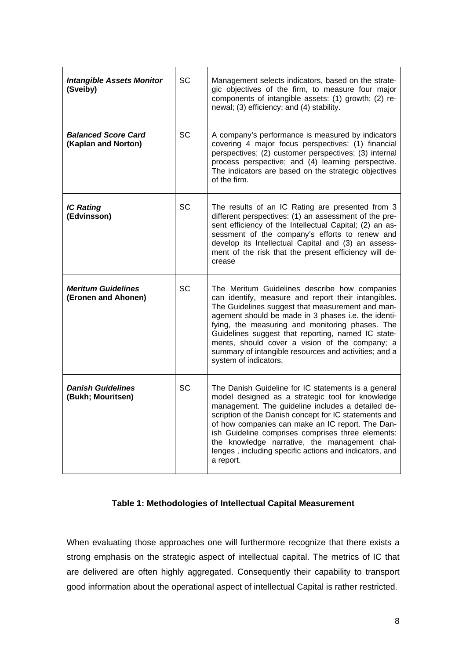| <b>Intangible Assets Monitor</b><br>(Sveiby)      | SC        | Management selects indicators, based on the strate-<br>gic objectives of the firm, to measure four major<br>components of intangible assets: (1) growth; (2) re-<br>newal; (3) efficiency; and (4) stability.                                                                                                                                                                                                                                                |
|---------------------------------------------------|-----------|--------------------------------------------------------------------------------------------------------------------------------------------------------------------------------------------------------------------------------------------------------------------------------------------------------------------------------------------------------------------------------------------------------------------------------------------------------------|
| <b>Balanced Score Card</b><br>(Kaplan and Norton) | <b>SC</b> | A company's performance is measured by indicators<br>covering 4 major focus perspectives: (1) financial<br>perspectives; (2) customer perspectives; (3) internal<br>process perspective; and (4) learning perspective.<br>The indicators are based on the strategic objectives<br>of the firm.                                                                                                                                                               |
| <b>IC Rating</b><br>(Edvinsson)                   | <b>SC</b> | The results of an IC Rating are presented from 3<br>different perspectives: (1) an assessment of the pre-<br>sent efficiency of the Intellectual Capital; (2) an as-<br>sessment of the company's efforts to renew and<br>develop its Intellectual Capital and (3) an assess-<br>ment of the risk that the present efficiency will de-<br>crease                                                                                                             |
| <b>Meritum Guidelines</b><br>(Eronen and Ahonen)  | SC        | The Meritum Guidelines describe how companies<br>can identify, measure and report their intangibles.<br>The Guidelines suggest that measurement and man-<br>agement should be made in 3 phases i.e. the identi-<br>fying, the measuring and monitoring phases. The<br>Guidelines suggest that reporting, named IC state-<br>ments, should cover a vision of the company; a<br>summary of intangible resources and activities; and a<br>system of indicators. |
| <b>Danish Guidelines</b><br>(Bukh; Mouritsen)     | SC        | The Danish Guideline for IC statements is a general<br>model designed as a strategic tool for knowledge<br>management. The guideline includes a detailed de-<br>scription of the Danish concept for IC statements and<br>of how companies can make an IC report. The Dan-<br>ish Guideline comprises comprises three elements:<br>the knowledge narrative, the management chal-<br>lenges, including specific actions and indicators, and<br>a report.       |

# **Table 1: Methodologies of Intellectual Capital Measurement**

When evaluating those approaches one will furthermore recognize that there exists a strong emphasis on the strategic aspect of intellectual capital. The metrics of IC that are delivered are often highly aggregated. Consequently their capability to transport good information about the operational aspect of intellectual Capital is rather restricted.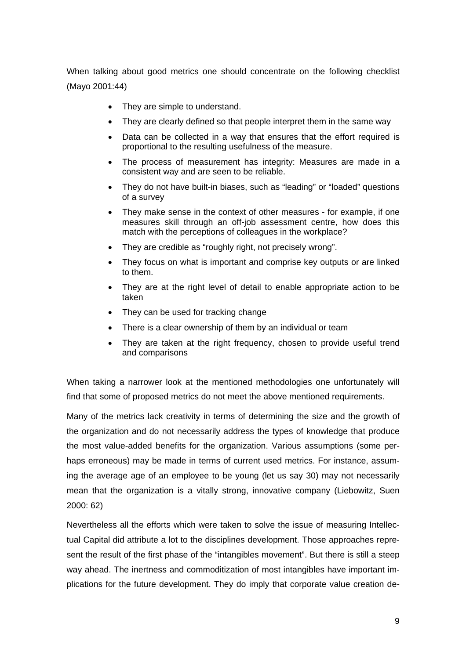When talking about good metrics one should concentrate on the following checklist (Mayo 2001:44)

- They are simple to understand.
- They are clearly defined so that people interpret them in the same way
- Data can be collected in a way that ensures that the effort required is proportional to the resulting usefulness of the measure.
- The process of measurement has integrity: Measures are made in a consistent way and are seen to be reliable.
- They do not have built-in biases, such as "leading" or "loaded" questions of a survey
- They make sense in the context of other measures for example, if one measures skill through an off-job assessment centre, how does this match with the perceptions of colleagues in the workplace?
- They are credible as "roughly right, not precisely wrong".
- They focus on what is important and comprise key outputs or are linked to them.
- They are at the right level of detail to enable appropriate action to be taken
- They can be used for tracking change
- There is a clear ownership of them by an individual or team
- They are taken at the right frequency, chosen to provide useful trend and comparisons

When taking a narrower look at the mentioned methodologies one unfortunately will find that some of proposed metrics do not meet the above mentioned requirements.

Many of the metrics lack creativity in terms of determining the size and the growth of the organization and do not necessarily address the types of knowledge that produce the most value-added benefits for the organization. Various assumptions (some perhaps erroneous) may be made in terms of current used metrics. For instance, assuming the average age of an employee to be young (let us say 30) may not necessarily mean that the organization is a vitally strong, innovative company (Liebowitz, Suen 2000: 62)

Nevertheless all the efforts which were taken to solve the issue of measuring Intellectual Capital did attribute a lot to the disciplines development. Those approaches represent the result of the first phase of the "intangibles movement". But there is still a steep way ahead. The inertness and commoditization of most intangibles have important implications for the future development. They do imply that corporate value creation de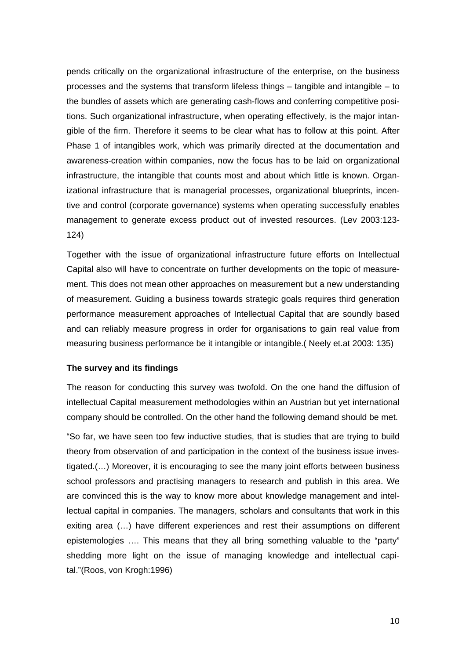pends critically on the organizational infrastructure of the enterprise, on the business processes and the systems that transform lifeless things – tangible and intangible – to the bundles of assets which are generating cash-flows and conferring competitive positions. Such organizational infrastructure, when operating effectively, is the major intangible of the firm. Therefore it seems to be clear what has to follow at this point. After Phase 1 of intangibles work, which was primarily directed at the documentation and awareness-creation within companies, now the focus has to be laid on organizational infrastructure, the intangible that counts most and about which little is known. Organizational infrastructure that is managerial processes, organizational blueprints, incentive and control (corporate governance) systems when operating successfully enables management to generate excess product out of invested resources. (Lev 2003:123- 124)

Together with the issue of organizational infrastructure future efforts on Intellectual Capital also will have to concentrate on further developments on the topic of measurement. This does not mean other approaches on measurement but a new understanding of measurement. Guiding a business towards strategic goals requires third generation performance measurement approaches of Intellectual Capital that are soundly based and can reliably measure progress in order for organisations to gain real value from measuring business performance be it intangible or intangible.( Neely et.at 2003: 135)

### **The survey and its findings**

The reason for conducting this survey was twofold. On the one hand the diffusion of intellectual Capital measurement methodologies within an Austrian but yet international company should be controlled. On the other hand the following demand should be met.

"So far, we have seen too few inductive studies, that is studies that are trying to build theory from observation of and participation in the context of the business issue investigated.(…) Moreover, it is encouraging to see the many joint efforts between business school professors and practising managers to research and publish in this area. We are convinced this is the way to know more about knowledge management and intellectual capital in companies. The managers, scholars and consultants that work in this exiting area (…) have different experiences and rest their assumptions on different epistemologies …. This means that they all bring something valuable to the "party" shedding more light on the issue of managing knowledge and intellectual capital."(Roos, von Krogh:1996)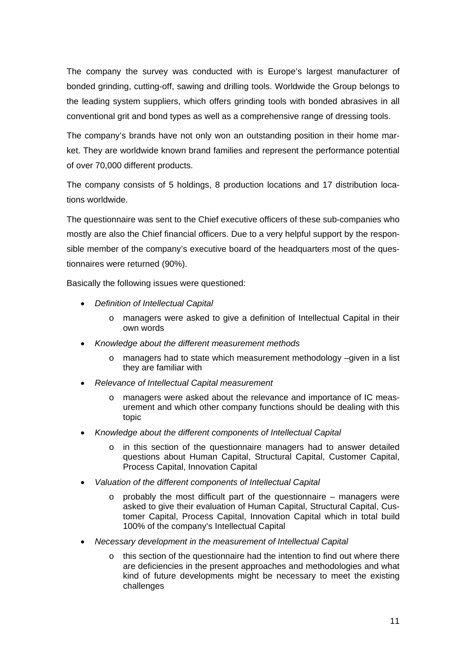The company the survey was conducted with is Europe's largest manufacturer of bonded grinding, cutting-off, sawing and drilling tools. Worldwide the Group belongs to the leading system suppliers, which offers grinding tools with bonded abrasives in all conventional grit and bond types as well as a comprehensive range of dressing tools.

The company's brands have not only won an outstanding position in their home market. They are worldwide known brand families and represent the performance potential of over 70,000 different products.

The company consists of 5 holdings, 8 production locations and 17 distribution locations worldwide.

The questionnaire was sent to the Chief executive officers of these sub-companies who mostly are also the Chief financial officers. Due to a very helpful support by the responsible member of the company's executive board of the headquarters most of the questionnaires were returned (90%).

Basically the following issues were questioned:

- *Definition of Intellectual Capital* 
	- o managers were asked to give a definition of Intellectual Capital in their own words
- *Knowledge about the different measurement methods* 
	- $\circ$  managers had to state which measurement methodology –given in a list they are familiar with
- *Relevance of Intellectual Capital measurement* 
	- managers were asked about the relevance and importance of IC measurement and which other company functions should be dealing with this topic
- *Knowledge about the different components of Intellectual Capital* 
	- o in this section of the questionnaire managers had to answer detailed questions about Human Capital, Structural Capital, Customer Capital, Process Capital, Innovation Capital
- *Valuation of the different components of Intellectual Capital* 
	- $\circ$  probably the most difficult part of the questionnaire managers were asked to give their evaluation of Human Capital, Structural Capital, Customer Capital, Process Capital, Innovation Capital which in total build 100% of the company's Intellectual Capital
- *Necessary development in the measurement of Intellectual Capital* 
	- o this section of the questionnaire had the intention to find out where there are deficiencies in the present approaches and methodologies and what kind of future developments might be necessary to meet the existing challenges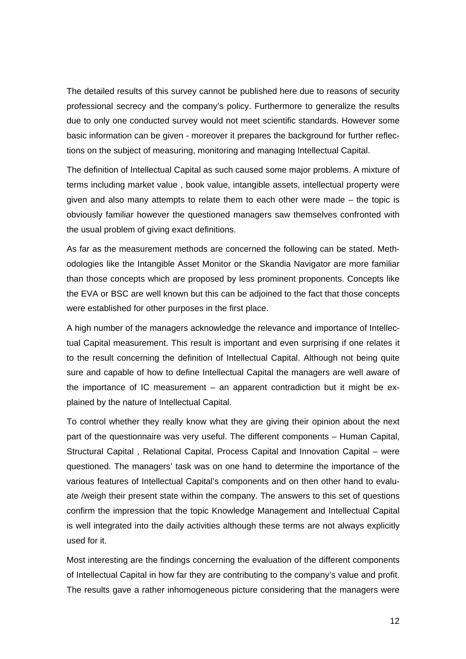The detailed results of this survey cannot be published here due to reasons of security professional secrecy and the company's policy. Furthermore to generalize the results due to only one conducted survey would not meet scientific standards. However some basic information can be given - moreover it prepares the background for further reflections on the subject of measuring, monitoring and managing Intellectual Capital.

The definition of Intellectual Capital as such caused some major problems. A mixture of terms including market value , book value, intangible assets, intellectual property were given and also many attempts to relate them to each other were made – the topic is obviously familiar however the questioned managers saw themselves confronted with the usual problem of giving exact definitions.

As far as the measurement methods are concerned the following can be stated. Methodologies like the Intangible Asset Monitor or the Skandia Navigator are more familiar than those concepts which are proposed by less prominent proponents. Concepts like the EVA or BSC are well known but this can be adjoined to the fact that those concepts were established for other purposes in the first place.

A high number of the managers acknowledge the relevance and importance of Intellectual Capital measurement. This result is important and even surprising if one relates it to the result concerning the definition of Intellectual Capital. Although not being quite sure and capable of how to define Intellectual Capital the managers are well aware of the importance of IC measurement – an apparent contradiction but it might be explained by the nature of Intellectual Capital.

To control whether they really know what they are giving their opinion about the next part of the questionnaire was very useful. The different components – Human Capital, Structural Capital , Relational Capital, Process Capital and Innovation Capital – were questioned. The managers' task was on one hand to determine the importance of the various features of Intellectual Capital's components and on then other hand to evaluate /weigh their present state within the company. The answers to this set of questions confirm the impression that the topic Knowledge Management and Intellectual Capital is well integrated into the daily activities although these terms are not always explicitly used for it.

Most interesting are the findings concerning the evaluation of the different components of Intellectual Capital in how far they are contributing to the company's value and profit. The results gave a rather inhomogeneous picture considering that the managers were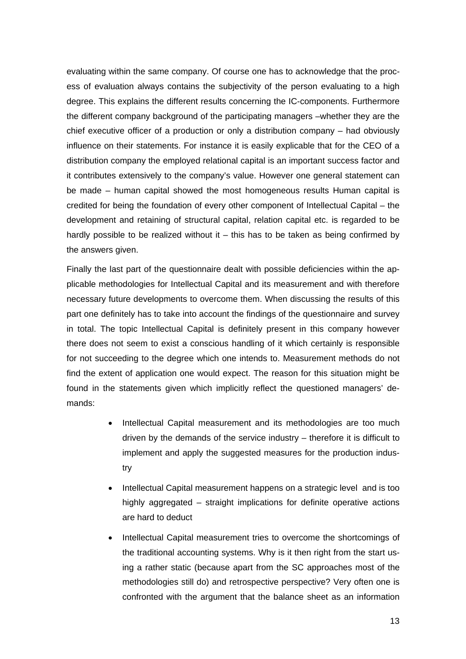evaluating within the same company. Of course one has to acknowledge that the process of evaluation always contains the subjectivity of the person evaluating to a high degree. This explains the different results concerning the IC-components. Furthermore the different company background of the participating managers –whether they are the chief executive officer of a production or only a distribution company – had obviously influence on their statements. For instance it is easily explicable that for the CEO of a distribution company the employed relational capital is an important success factor and it contributes extensively to the company's value. However one general statement can be made – human capital showed the most homogeneous results Human capital is credited for being the foundation of every other component of Intellectual Capital – the development and retaining of structural capital, relation capital etc. is regarded to be hardly possible to be realized without it  $-$  this has to be taken as being confirmed by the answers given.

Finally the last part of the questionnaire dealt with possible deficiencies within the applicable methodologies for Intellectual Capital and its measurement and with therefore necessary future developments to overcome them. When discussing the results of this part one definitely has to take into account the findings of the questionnaire and survey in total. The topic Intellectual Capital is definitely present in this company however there does not seem to exist a conscious handling of it which certainly is responsible for not succeeding to the degree which one intends to. Measurement methods do not find the extent of application one would expect. The reason for this situation might be found in the statements given which implicitly reflect the questioned managers' demands:

- Intellectual Capital measurement and its methodologies are too much driven by the demands of the service industry – therefore it is difficult to implement and apply the suggested measures for the production industry
- Intellectual Capital measurement happens on a strategic level and is too highly aggregated – straight implications for definite operative actions are hard to deduct
- Intellectual Capital measurement tries to overcome the shortcomings of the traditional accounting systems. Why is it then right from the start using a rather static (because apart from the SC approaches most of the methodologies still do) and retrospective perspective? Very often one is confronted with the argument that the balance sheet as an information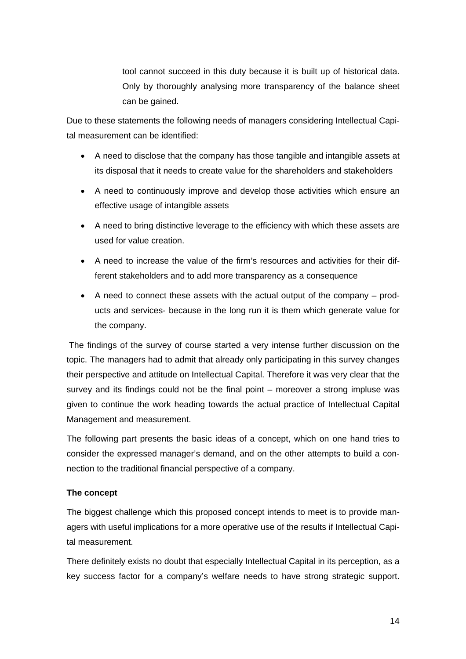tool cannot succeed in this duty because it is built up of historical data. Only by thoroughly analysing more transparency of the balance sheet can be gained.

Due to these statements the following needs of managers considering Intellectual Capital measurement can be identified:

- A need to disclose that the company has those tangible and intangible assets at its disposal that it needs to create value for the shareholders and stakeholders
- A need to continuously improve and develop those activities which ensure an effective usage of intangible assets
- A need to bring distinctive leverage to the efficiency with which these assets are used for value creation.
- A need to increase the value of the firm's resources and activities for their different stakeholders and to add more transparency as a consequence
- A need to connect these assets with the actual output of the company products and services- because in the long run it is them which generate value for the company.

 The findings of the survey of course started a very intense further discussion on the topic. The managers had to admit that already only participating in this survey changes their perspective and attitude on Intellectual Capital. Therefore it was very clear that the survey and its findings could not be the final point – moreover a strong impluse was given to continue the work heading towards the actual practice of Intellectual Capital Management and measurement.

The following part presents the basic ideas of a concept, which on one hand tries to consider the expressed manager's demand, and on the other attempts to build a connection to the traditional financial perspective of a company.

# **The concept**

The biggest challenge which this proposed concept intends to meet is to provide managers with useful implications for a more operative use of the results if Intellectual Capital measurement.

There definitely exists no doubt that especially Intellectual Capital in its perception, as a key success factor for a company's welfare needs to have strong strategic support.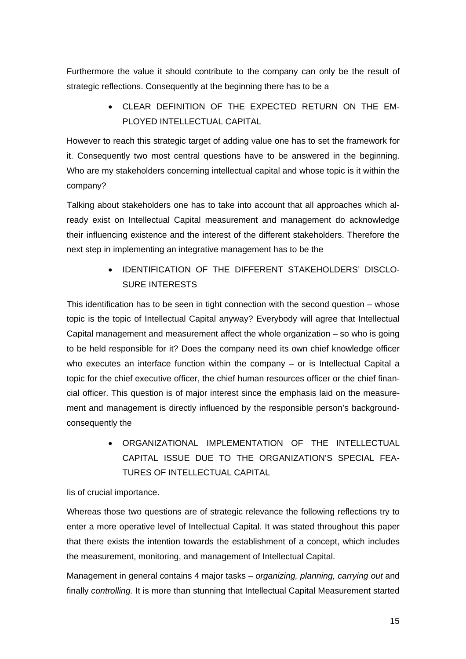Furthermore the value it should contribute to the company can only be the result of strategic reflections. Consequently at the beginning there has to be a

> • CLEAR DEFINITION OF THE EXPECTED RETURN ON THE EM-PLOYED INTELLECTUAL CAPITAL

However to reach this strategic target of adding value one has to set the framework for it. Consequently two most central questions have to be answered in the beginning. Who are my stakeholders concerning intellectual capital and whose topic is it within the company?

Talking about stakeholders one has to take into account that all approaches which already exist on Intellectual Capital measurement and management do acknowledge their influencing existence and the interest of the different stakeholders. Therefore the next step in implementing an integrative management has to be the

> • IDENTIFICATION OF THE DIFFERENT STAKEHOLDERS' DISCLO-SURE INTERESTS

This identification has to be seen in tight connection with the second question – whose topic is the topic of Intellectual Capital anyway? Everybody will agree that Intellectual Capital management and measurement affect the whole organization – so who is going to be held responsible for it? Does the company need its own chief knowledge officer who executes an interface function within the company – or is Intellectual Capital a topic for the chief executive officer, the chief human resources officer or the chief financial officer. This question is of major interest since the emphasis laid on the measurement and management is directly influenced by the responsible person's backgroundconsequently the

> • ORGANIZATIONAL IMPLEMENTATION OF THE INTELLECTUAL CAPITAL ISSUE DUE TO THE ORGANIZATION'S SPECIAL FEA-TURES OF INTELLECTUAL CAPITAL

# Iis of crucial importance.

Whereas those two questions are of strategic relevance the following reflections try to enter a more operative level of Intellectual Capital. It was stated throughout this paper that there exists the intention towards the establishment of a concept, which includes the measurement, monitoring, and management of Intellectual Capital.

Management in general contains 4 major tasks – *organizing, planning, carrying out* and finally *controlling.* It is more than stunning that Intellectual Capital Measurement started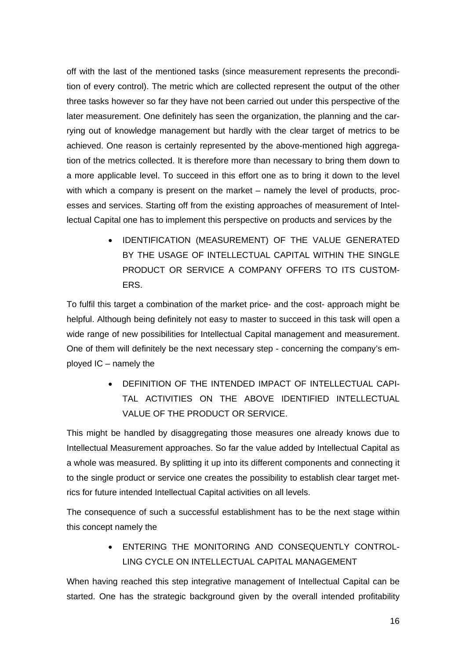off with the last of the mentioned tasks (since measurement represents the precondition of every control). The metric which are collected represent the output of the other three tasks however so far they have not been carried out under this perspective of the later measurement. One definitely has seen the organization, the planning and the carrying out of knowledge management but hardly with the clear target of metrics to be achieved. One reason is certainly represented by the above-mentioned high aggregation of the metrics collected. It is therefore more than necessary to bring them down to a more applicable level. To succeed in this effort one as to bring it down to the level with which a company is present on the market – namely the level of products, processes and services. Starting off from the existing approaches of measurement of Intellectual Capital one has to implement this perspective on products and services by the

> • IDENTIFICATION (MEASUREMENT) OF THE VALUE GENERATED BY THE USAGE OF INTELLECTUAL CAPITAL WITHIN THE SINGLE PRODUCT OR SERVICE A COMPANY OFFERS TO ITS CUSTOM-ERS.

To fulfil this target a combination of the market price- and the cost- approach might be helpful. Although being definitely not easy to master to succeed in this task will open a wide range of new possibilities for Intellectual Capital management and measurement. One of them will definitely be the next necessary step - concerning the company's employed IC – namely the

> • DEFINITION OF THE INTENDED IMPACT OF INTELLECTUAL CAPI-TAL ACTIVITIES ON THE ABOVE IDENTIFIED INTELLECTUAL VALUE OF THE PRODUCT OR SERVICE.

This might be handled by disaggregating those measures one already knows due to Intellectual Measurement approaches. So far the value added by Intellectual Capital as a whole was measured. By splitting it up into its different components and connecting it to the single product or service one creates the possibility to establish clear target metrics for future intended Intellectual Capital activities on all levels.

The consequence of such a successful establishment has to be the next stage within this concept namely the

> • ENTERING THE MONITORING AND CONSEQUENTLY CONTROL-LING CYCLE ON INTELLECTUAL CAPITAL MANAGEMENT

When having reached this step integrative management of Intellectual Capital can be started. One has the strategic background given by the overall intended profitability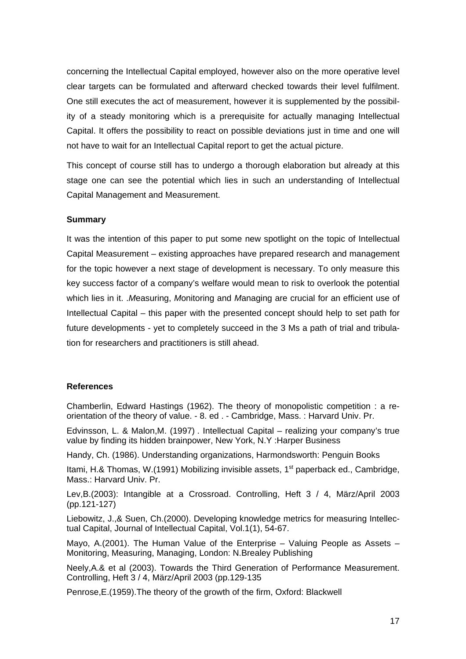concerning the Intellectual Capital employed, however also on the more operative level clear targets can be formulated and afterward checked towards their level fulfilment. One still executes the act of measurement, however it is supplemented by the possibility of a steady monitoring which is a prerequisite for actually managing Intellectual Capital. It offers the possibility to react on possible deviations just in time and one will not have to wait for an Intellectual Capital report to get the actual picture.

This concept of course still has to undergo a thorough elaboration but already at this stage one can see the potential which lies in such an understanding of Intellectual Capital Management and Measurement.

### **Summary**

It was the intention of this paper to put some new spotlight on the topic of Intellectual Capital Measurement – existing approaches have prepared research and management for the topic however a next stage of development is necessary. To only measure this key success factor of a company's welfare would mean to risk to overlook the potential which lies in it. .*M*easuring, *M*onitoring and *M*anaging are crucial for an efficient use of Intellectual Capital – this paper with the presented concept should help to set path for future developments - yet to completely succeed in the 3 Ms a path of trial and tribulation for researchers and practitioners is still ahead.

### **References**

Chamberlin, Edward Hastings (1962). The theory of monopolistic competition : a reorientation of the theory of value. - 8. ed . - Cambridge, Mass. : Harvard Univ. Pr.

Edvinsson, L. & Malon,M. (1997) . Intellectual Capital – realizing your company's true value by finding its hidden brainpower, New York, N.Y :Harper Business

Handy, Ch. (1986). Understanding organizations, Harmondsworth: Penguin Books

Itami, H.& Thomas, W.(1991) Mobilizing invisible assets,  $1<sup>st</sup>$  paperback ed., Cambridge, Mass.: Harvard Univ. Pr.

Lev,B.(2003): Intangible at a Crossroad. Controlling, Heft 3 / 4, März/April 2003 (pp.121-127)

Liebowitz, J.,& Suen, Ch.(2000). Developing knowledge metrics for measuring Intellectual Capital, Journal of Intellectual Capital, Vol.1(1), 54-67.

Mayo, A.(2001). The Human Value of the Enterprise – Valuing People as Assets – Monitoring, Measuring, Managing, London: N.Brealey Publishing

Neely,A.& et al (2003). Towards the Third Generation of Performance Measurement. Controlling, Heft 3 / 4, März/April 2003 (pp.129-135

Penrose,E.(1959).The theory of the growth of the firm, Oxford: Blackwell